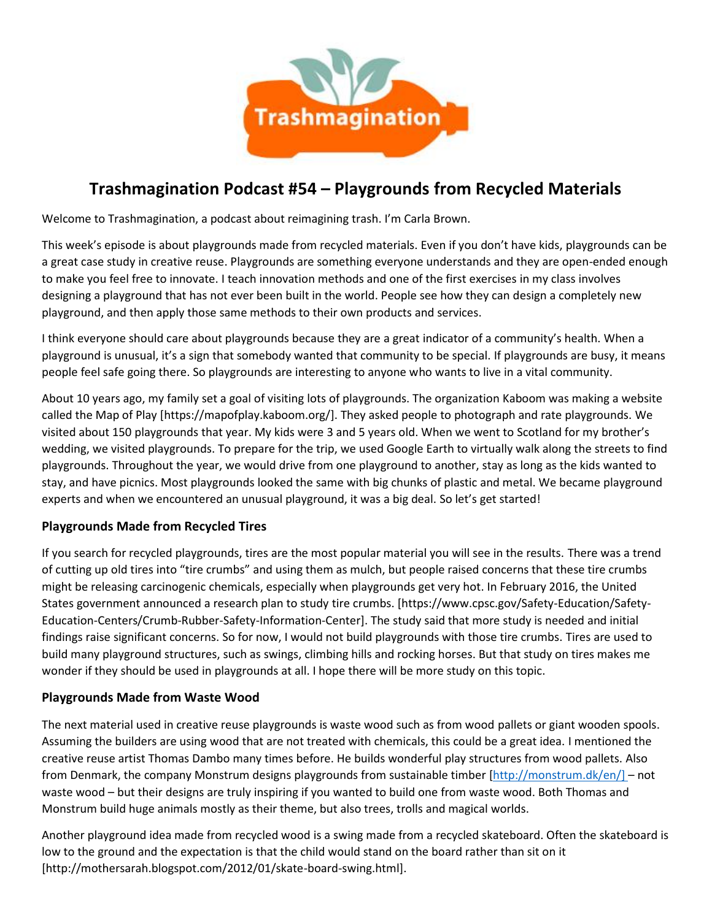

# **Trashmagination Podcast #54 – Playgrounds from Recycled Materials**

Welcome to Trashmagination, a podcast about reimagining trash. I'm Carla Brown.

This week's episode is about playgrounds made from recycled materials. Even if you don't have kids, playgrounds can be a great case study in creative reuse. Playgrounds are something everyone understands and they are open-ended enough to make you feel free to innovate. I teach innovation methods and one of the first exercises in my class involves designing a playground that has not ever been built in the world. People see how they can design a completely new playground, and then apply those same methods to their own products and services.

I think everyone should care about playgrounds because they are a great indicator of a community's health. When a playground is unusual, it's a sign that somebody wanted that community to be special. If playgrounds are busy, it means people feel safe going there. So playgrounds are interesting to anyone who wants to live in a vital community.

About 10 years ago, my family set a goal of visiting lots of playgrounds. The organization Kaboom was making a website called the Map of Play [https://mapofplay.kaboom.org/]. They asked people to photograph and rate playgrounds. We visited about 150 playgrounds that year. My kids were 3 and 5 years old. When we went to Scotland for my brother's wedding, we visited playgrounds. To prepare for the trip, we used Google Earth to virtually walk along the streets to find playgrounds. Throughout the year, we would drive from one playground to another, stay as long as the kids wanted to stay, and have picnics. Most playgrounds looked the same with big chunks of plastic and metal. We became playground experts and when we encountered an unusual playground, it was a big deal. So let's get started!

## **Playgrounds Made from Recycled Tires**

If you search for recycled playgrounds, tires are the most popular material you will see in the results. There was a trend of cutting up old tires into "tire crumbs" and using them as mulch, but people raised concerns that these tire crumbs might be releasing carcinogenic chemicals, especially when playgrounds get very hot. In February 2016, the United States government announced a research plan to study tire crumbs. [https://www.cpsc.gov/Safety-Education/Safety- Education-Centers/Crumb-Rubber-Safety-Information-Center]. The study said that more study is needed and initial findings raise significant concerns. So for now, I would not build playgrounds with those tire crumbs. Tires are used to build many playground structures, such as swings, climbing hills and rocking horses. But that study on tires makes me wonder if they should be used in playgrounds at all. I hope there will be more study on this topic.

#### **Playgrounds Made from Waste Wood**

The next material used in creative reuse playgrounds is waste wood such as from wood pallets or giant wooden spools. Assuming the builders are using wood that are not treated with chemicals, this could be a great idea. I mentioned the creative reuse artist Thomas Dambo many times before. He builds wonderful play structures from wood pallets. Also from Denmark, the company Monstrum designs playgrounds from sustainable timber [http://monstrum.dk/en/] – not waste wood – but their designs are truly inspiring if you wanted to build one from waste wood. Both Thomas and Monstrum build huge animals mostly as their theme, but also trees, trolls and magical worlds.

Another playground idea made from recycled wood is a swing made from a recycled skateboard. Often the skateboard is low to the ground and the expectation is that the child would stand on the board rather than sit on it [http://mothersarah.blogspot.com/2012/01/skate-board-swing.html].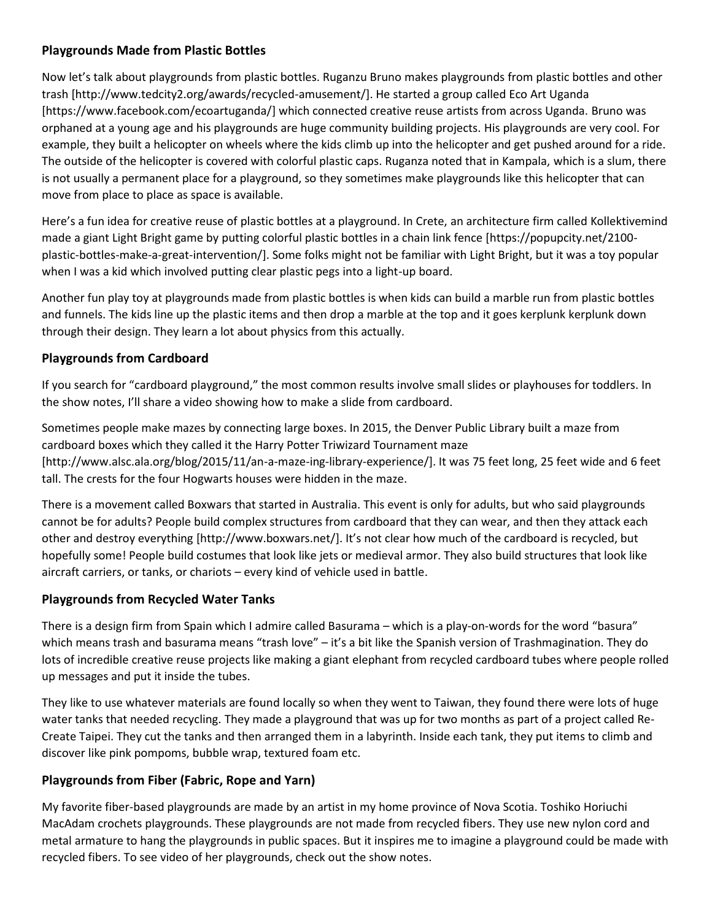## **Playgrounds Made from Plastic Bottles**

Now let's talk about playgrounds from plastic bottles. Ruganzu Bruno makes playgrounds from plastic bottles and other trash [http://www.tedcity2.org/awards/recycled-amusement/]. He started a group called Eco Art Uganda [https://www.facebook.com/ecoartuganda/] which connected creative reuse artists from across Uganda. Bruno was orphaned at a young age and his playgrounds are huge community building projects. His playgrounds are very cool. For example, they built a helicopter on wheels where the kids climb up into the helicopter and get pushed around for a ride. The outside of the helicopter is covered with colorful plastic caps. Ruganza noted that in Kampala, which is a slum, there is not usually a permanent place for a playground, so they sometimes make playgrounds like this helicopter that can move from place to place as space is available.

Here's a fun idea for creative reuse of plastic bottles at a playground. In Crete, an architecture firm called Kollektivemind made a giant Light Bright game by putting colorful plastic bottles in a chain link fence [https://popupcity.net/2100 plastic-bottles-make-a-great-intervention/]. Some folks might not be familiar with Light Bright, but it was a toy popular when I was a kid which involved putting clear plastic pegs into a light-up board.

Another fun play toy at playgrounds made from plastic bottles is when kids can build a marble run from plastic bottles and funnels. The kids line up the plastic items and then drop a marble at the top and it goes kerplunk kerplunk down through their design. They learn a lot about physics from this actually.

## **Playgrounds from Cardboard**

If you search for "cardboard playground," the most common results involve small slides or playhouses for toddlers. In the show notes, I'll share a video showing how to make a slide from cardboard.

Sometimes people make mazes by connecting large boxes. In 2015, the Denver Public Library built a maze from cardboard boxes which they called it the Harry Potter Triwizard Tournament maze [http://www.alsc.ala.org/blog/2015/11/an-a-maze-ing-library-experience/]. It was 75 feet long, 25 feet wide and 6 feet tall. The crests for the four Hogwarts houses were hidden in the maze.

There is a movement called Boxwars that started in Australia. This event is only for adults, but who said playgrounds cannot be for adults? People build complex structures from cardboard that they can wear, and then they attack each other and destroy everything [http://www.boxwars.net/]. It's not clear how much of the cardboard is recycled, but hopefully some! People build costumes that look like jets or medieval armor. They also build structures that look like aircraft carriers, or tanks, or chariots – every kind of vehicle used in battle.

## **Playgrounds from Recycled Water Tanks**

There is a design firm from Spain which I admire called Basurama – which is a play-on-words for the word "basura" which means trash and basurama means "trash love" – it's a bit like the Spanish version of Trashmagination. They do lots of incredible creative reuse projects like making a giant elephant from recycled cardboard tubes where people rolled up messages and put it inside the tubes.

They like to use whatever materials are found locally so when they went to Taiwan, they found there were lots of huge water tanks that needed recycling. They made a playground that was up for two months as part of a project called Re- Create Taipei. They cut the tanks and then arranged them in a labyrinth. Inside each tank, they put items to climb and discover like pink pompoms, bubble wrap, textured foam etc.

## **Playgrounds from Fiber (Fabric, Rope and Yarn)**

My favorite fiber-based playgrounds are made by an artist in my home province of Nova Scotia. Toshiko Horiuchi MacAdam crochets playgrounds. These playgrounds are not made from recycled fibers. They use new nylon cord and metal armature to hang the playgrounds in public spaces. But it inspires me to imagine a playground could be made with recycled fibers. To see video of her playgrounds, check out the show notes.